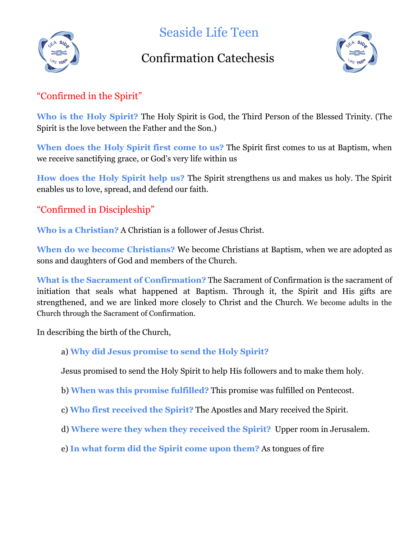

Seaside Life Teen

# Confirmation Catechesis



# "Confirmed in the Spirit"

**Who is the Holy Spirit?** The Holy Spirit is God, the Third Person of the Blessed Trinity. (The Spirit is the love between the Father and the Son.)

**When does the Holy Spirit first come to us?** The Spirit first comes to us at Baptism, when we receive sanctifying grace, or God's very life within us

**How does the Holy Spirit help us?** The Spirit strengthens us and makes us holy. The Spirit enables us to love, spread, and defend our faith.

## "Confirmed in Discipleship"

**Who is a Christian?** A Christian is a follower of Jesus Christ.

**When do we become Christians?** We become Christians at Baptism, when we are adopted as sons and daughters of God and members of the Church.

**What is the Sacrament of Confirmation?** The Sacrament of Confirmation is the sacrament of initiation that seals what happened at Baptism. Through it, the Spirit and His gifts are strengthened, and we are linked more closely to Christ and the Church. We become adults in the Church through the Sacrament of Confirmation.

In describing the birth of the Church,

## a) **Why did Jesus promise to send the Holy Spirit?**

Jesus promised to send the Holy Spirit to help His followers and to make them holy.

- b) **When was this promise fulfilled?** This promise was fulfilled on Pentecost.
- c) **Who first received the Spirit?** The Apostles and Mary received the Spirit.
- d) **Where were they when they received the Spirit?** Upper room in Jerusalem.
- e) **In what form did the Spirit come upon them?** As tongues of fire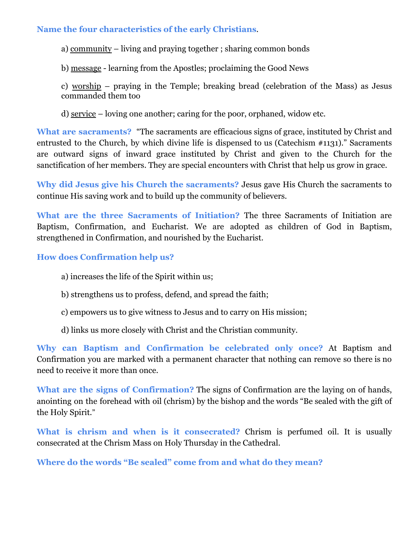#### **Name the four characteristics of the early Christians**.

a) community – living and praying together ; sharing common bonds

b) message - learning from the Apostles; proclaiming the Good News

c) worship – praying in the Temple; breaking bread (celebration of the Mass) as Jesus commanded them too

d) service – loving one another; caring for the poor, orphaned, widow etc.

**What are sacraments?** "The sacraments are efficacious signs of grace, instituted by Christ and entrusted to the Church, by which divine life is dispensed to us (Catechism #1131)." Sacraments are outward signs of inward grace instituted by Christ and given to the Church for the sanctification of her members. They are special encounters with Christ that help us grow in grace.

**Why did Jesus give his Church the sacraments?** Jesus gave His Church the sacraments to continue His saving work and to build up the community of believers.

**What are the three Sacraments of Initiation?** The three Sacraments of Initiation are Baptism, Confirmation, and Eucharist. We are adopted as children of God in Baptism, strengthened in Confirmation, and nourished by the Eucharist.

**How does Confirmation help us?**

- a) increases the life of the Spirit within us;
- b) strengthens us to profess, defend, and spread the faith;
- c) empowers us to give witness to Jesus and to carry on His mission;
- d) links us more closely with Christ and the Christian community.

**Why can Baptism and Confirmation be celebrated only once?** At Baptism and Confirmation you are marked with a permanent character that nothing can remove so there is no need to receive it more than once.

**What are the signs of Confirmation?** The signs of Confirmation are the laying on of hands, anointing on the forehead with oil (chrism) by the bishop and the words "Be sealed with the gift of the Holy Spirit."

**What is chrism and when is it consecrated?** Chrism is perfumed oil. It is usually consecrated at the Chrism Mass on Holy Thursday in the Cathedral.

**Where do the words "Be sealed" come from and what do they mean?**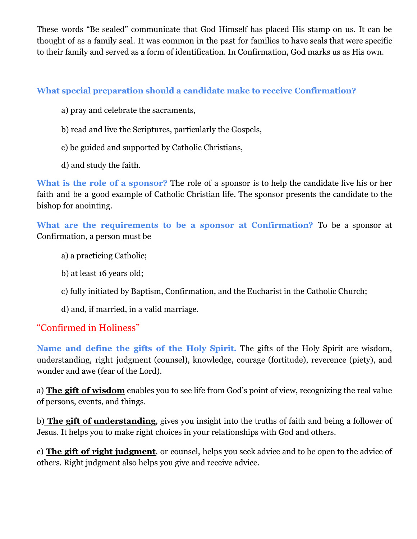These words "Be sealed" communicate that God Himself has placed His stamp on us. It can be thought of as a family seal. It was common in the past for families to have seals that were specific to their family and served as a form of identification. In Confirmation, God marks us as His own.

## **What special preparation should a candidate make to receive Confirmation?**

- a) pray and celebrate the sacraments,
- b) read and live the Scriptures, particularly the Gospels,
- c) be guided and supported by Catholic Christians,
- d) and study the faith.

**What is the role of a sponsor?** The role of a sponsor is to help the candidate live his or her faith and be a good example of Catholic Christian life. The sponsor presents the candidate to the bishop for anointing.

**What are the requirements to be a sponsor at Confirmation?** To be a sponsor at Confirmation, a person must be

- a) a practicing Catholic;
- b) at least 16 years old;
- c) fully initiated by Baptism, Confirmation, and the Eucharist in the Catholic Church;
- d) and, if married, in a valid marriage.

## "Confirmed in Holiness"

**Name and define the gifts of the Holy Spirit.** The gifts of the Holy Spirit are wisdom, understanding, right judgment (counsel), knowledge, courage (fortitude), reverence (piety), and wonder and awe (fear of the Lord).

a) **The gift of wisdom** enables you to see life from God's point of view, recognizing the real value of persons, events, and things.

b) **The gift of understanding**, gives you insight into the truths of faith and being a follower of Jesus. It helps you to make right choices in your relationships with God and others.

c) **The gift of right judgment**, or counsel, helps you seek advice and to be open to the advice of others. Right judgment also helps you give and receive advice.